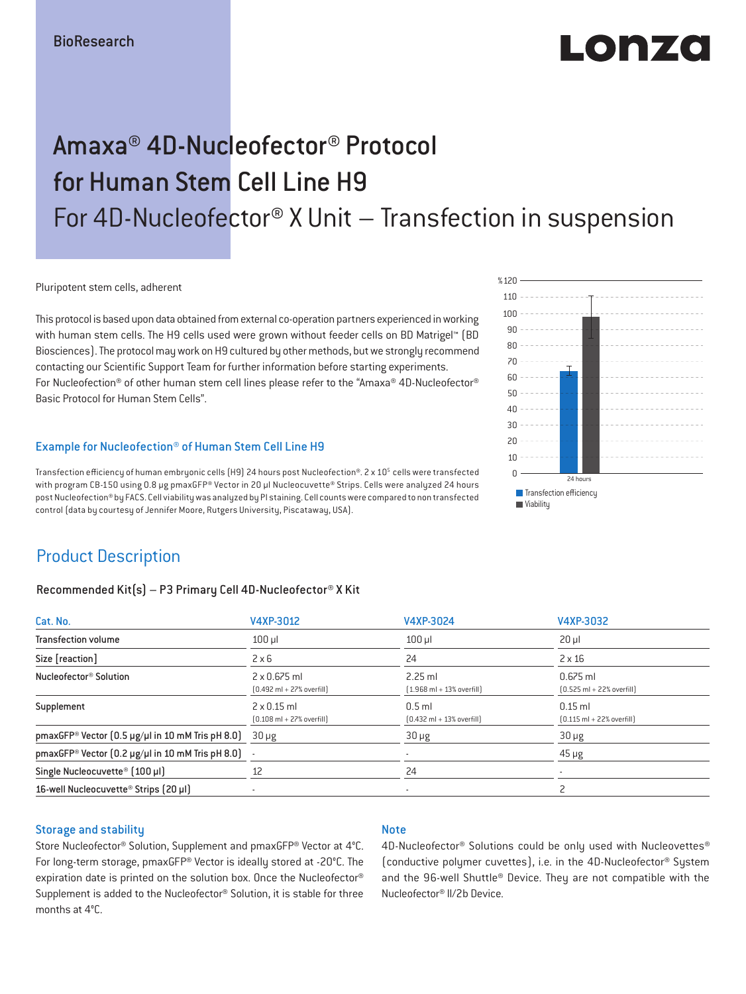# LONZO

## Amaxa® 4D-Nucleofector® Protocol for Human Stem Cell Line H9 For 4D-Nucleofector® X Unit – Transfection in suspension

Pluripotent stem cells, adherent

This protocol is based upon data obtained from external co-operation partners experienced in working with human stem cells. The H9 cells used were grown without feeder cells on BD Matrigel™ (BD Biosciences). The protocol may work on H9 cultured by other methods, but we strongly recommend contacting our Scientific Support Team for further information before starting experiments. For Nucleofection® of other human stem cell lines please refer to the "Amaxa® 4D-Nucleofector® Basic Protocol for Human Stem Cells".

#### Example for Nucleofection® of Human Stem Cell Line H9

Transfection efficiency of human embryonic cells (H9) 24 hours post Nucleofection®. 2 x 10<sup>5</sup> cells were transfected with program CB-150 using 0.8 μg pmaxGFP® Vector in 20 μl Nucleocuvette® Strips. Cells were analyzed 24 hours post Nucleofection® by FACS. Cell viability was analyzed by PI staining. Cell counts were compared to non transfected control (data by courtesy of Jennifer Moore, Rutgers University, Piscataway, USA).



## Product Description

#### Recommended Kit(s) – P3 Primary Cell 4D-Nucleofector® X Kit

| Cat. No.                                                              | V4XP-3012                                                           | V4XP-3024                                                 | V4XP-3032                                                  |
|-----------------------------------------------------------------------|---------------------------------------------------------------------|-----------------------------------------------------------|------------------------------------------------------------|
| <b>Transfection volume</b>                                            | $100$ $\mu$                                                         | $100$ $\mu$                                               | $20 \mu$                                                   |
| Size [reaction]                                                       | $2 \times 6$                                                        | 24                                                        | $2 \times 16$                                              |
| Nucleofector <sup>®</sup> Solution                                    | $2 \times 0.675$ ml<br>$[0.492 \text{ ml} + 27\% \text{ overfill}]$ | $2.25$ ml<br>$(1.968 \text{ ml} + 13\% \text{ overfill})$ | $0.675$ ml<br>$[0.525 \text{ ml} + 22\% \text{ overfill}]$ |
| Supplement                                                            | $2 \times 0.15$ ml<br>$[0.108 \text{ ml} + 27\% \text{ overfill}]$  | $0.5$ ml<br>$[0.432 \text{ ml} + 13\%$ overfill           | $0.15$ ml<br>$[0.115 \text{ ml} + 22\% \text{ overfill}]$  |
| pmaxGFP® Vector $(0.5 \,\mu g/\mu l$ in 10 mM Tris pH 8.0) 30 $\mu g$ |                                                                     | $30 \mu g$                                                | $30 \mu g$                                                 |
| pmaxGFP® Vector $[0.2 \mu g/\mu]$ in 10 mM Tris pH 8.0) -             |                                                                     |                                                           | $45 \mu g$                                                 |
| Single Nucleocuvette <sup>®</sup> [100 µl]                            | 12                                                                  | 24                                                        |                                                            |
| 16-well Nucleocuvette <sup>®</sup> Strips [20 µl]                     |                                                                     | $\overline{\phantom{a}}$                                  |                                                            |

#### Storage and stability

Store Nucleofector® Solution, Supplement and pmaxGFP® Vector at 4°C. For long-term storage, pmaxGFP® Vector is ideally stored at -20°C. The expiration date is printed on the solution box. Once the Nucleofector® Supplement is added to the Nucleofector® Solution, it is stable for three months at 4°C.

#### Note

4D-Nucleofector® Solutions could be only used with Nucleovettes® (conductive polymer cuvettes), i.e. in the 4D-Nucleofector® System and the 96-well Shuttle® Device. They are not compatible with the Nucleofector® II/2b Device.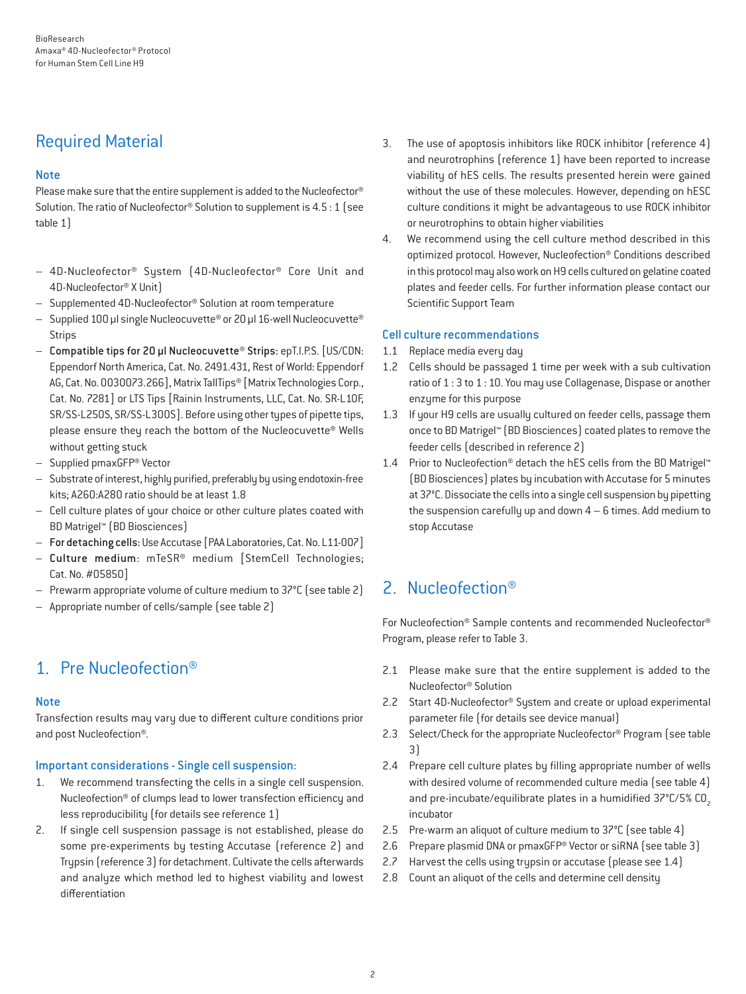## Required Material

#### **Note**

Please make sure that the entire supplement is added to the Nucleofector® Solution. The ratio of Nucleofector® Solution to supplement is 4.5 : 1 (see table 1)

- 4D-Nucleofector® System (4D-Nucleofector® Core Unit and 4D-Nucleofector® X Unit)
- Supplemented 4D-Nucleofector® Solution at room temperature
- Supplied 100 µl single Nucleocuvette® or 20 µl 16-well Nucleocuvette® **Strips**
- Compatible tips for 20 µl Nucleocuvette® Strips: epT.I.P.S. [US/CDN: Eppendorf North America, Cat. No. 2491.431, Rest of World: Eppendorf AG, Cat. No. 0030073.266], Matrix TallTips® [Matrix Technologies Corp., Cat. No. 7281] or LTS Tips [Rainin Instruments, LLC, Cat. No. SR-L10F, SR/SS-L250S, SR/SS-L300S]. Before using other types of pipette tips, please ensure they reach the bottom of the Nucleocuvette® Wells without getting stuck
- Supplied pmaxGFP® Vector
- Substrate of interest, highly purified, preferably by using endotoxin-free kits; A260:A280 ratio should be at least 1.8
- Cell culture plates of your choice or other culture plates coated with BD Matrigel™ (BD Biosciences)
- For detaching cells: Use Accutase [PAA Laboratories, Cat. No. L11-007]
- Culture medium: mTeSR® medium [StemCell Technologies; Cat. No. #05850]
- Prewarm appropriate volume of culture medium to 37°C (see table 2)
- Appropriate number of cells/sample (see table 2)

## 1. Pre Nucleofection®

#### **Note**

Transfection results may vary due to different culture conditions prior and post Nucleofection®.

#### Important considerations - Single cell suspension:

- 1. We recommend transfecting the cells in a single cell suspension. Nucleofection® of clumps lead to lower transfection efficiency and less reproducibility (for details see reference 1)
- 2. If single cell suspension passage is not established, please do some pre-experiments by testing Accutase (reference 2) and Trypsin (reference 3) for detachment. Cultivate the cells afterwards and analyze which method led to highest viability and lowest differentiation
- 3. The use of apoptosis inhibitors like ROCK inhibitor (reference 4) and neurotrophins (reference 1) have been reported to increase viability of hES cells. The results presented herein were gained without the use of these molecules. However, depending on hESC culture conditions it might be advantageous to use ROCK inhibitor or neurotrophins to obtain higher viabilities
- 4. We recommend using the cell culture method described in this optimized protocol. However, Nucleofection® Conditions described in this protocol may also work on H9 cells cultured on gelatine coated plates and feeder cells. For further information please contact our Scientific Support Team

#### Cell culture recommendations

- 1.1 Replace media every day
- 1.2 Cells should be passaged 1 time per week with a sub cultivation ratio of 1 : 3 to 1 : 10. You may use Collagenase, Dispase or another enzyme for this purpose
- 1.3 If your H9 cells are usually cultured on feeder cells, passage them once to BD Matrigel™ (BD Biosciences) coated plates to remove the feeder cells (described in reference 2)
- 1.4 Prior to Nucleofection<sup>®</sup> detach the hES cells from the BD Matrigel™ (BD Biosciences) plates by incubation with Accutase for 5 minutes at 37°C. Dissociate the cells into a single cell suspension by pipetting the suspension carefully up and down 4 – 6 times. Add medium to stop Accutase

## 2. Nucleofection®

For Nucleofection® Sample contents and recommended Nucleofector® Program, please refer to Table 3.

- 2.1 Please make sure that the entire supplement is added to the Nucleofector® Solution
- 2.2 Start 4D-Nucleofector<sup>®</sup> System and create or upload experimental parameter file (for details see device manual)
- 2.3 Select/Check for the appropriate Nucleofector<sup>®</sup> Program (see table 3)
- 2.4 Prepare cell culture plates by filling appropriate number of wells with desired volume of recommended culture media (see table 4) and pre-incubate/equilibrate plates in a humidified 37°C/5% CO<sub>2</sub> incubator
- 2.5 Pre-warm an aliquot of culture medium to 37°C (see table 4)
- 2.6 Prepare plasmid DNA or pmaxGFP® Vector or siRNA (see table 3)
- 2.7 Harvest the cells using trypsin or accutase (please see 1.4)
- 2.8 Count an aliquot of the cells and determine cell density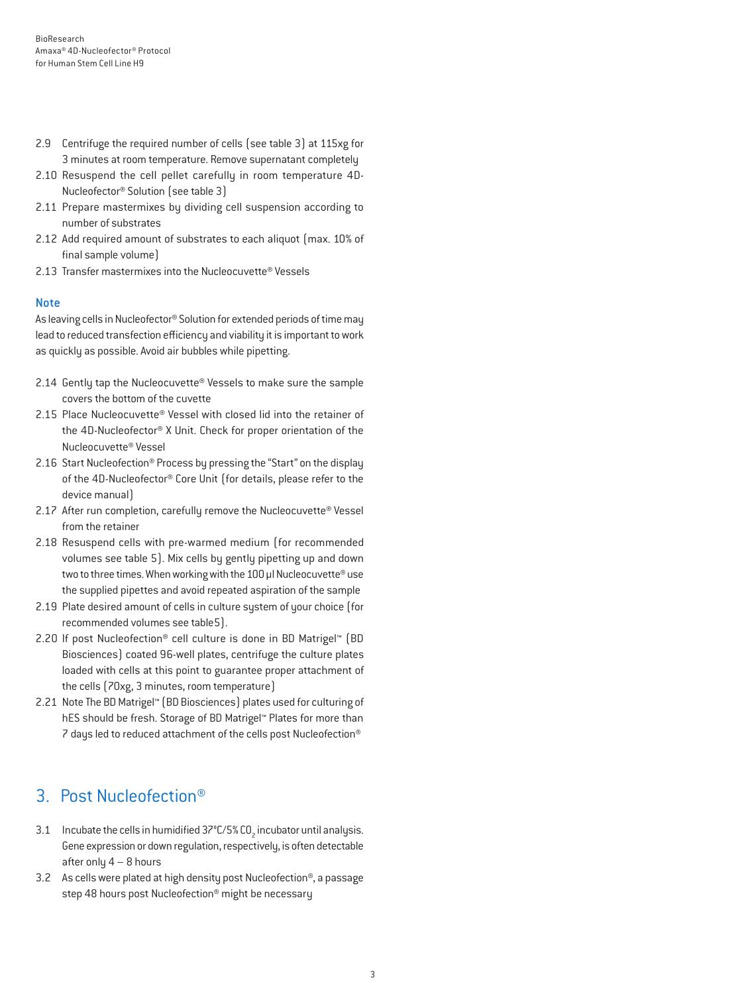- 2.9 Centrifuge the required number of cells (see table 3) at 115xg for 3 minutes at room temperature. Remove supernatant completely
- 2.10 Resuspend the cell pellet carefully in room temperature 4D-Nucleofector® Solution (see table 3)
- 2.11 Prepare mastermixes by dividing cell suspension according to number of substrates
- 2.12 Add required amount of substrates to each aliquot (max. 10% of final sample volume)
- 2.13 Transfer mastermixes into the Nucleocuvette® Vessels

#### Note

As leaving cells in Nucleofector® Solution for extended periods of time may lead to reduced transfection efficiency and viability it is important to work as quickly as possible. Avoid air bubbles while pipetting.

- 2.14 Gently tap the Nucleocuvette® Vessels to make sure the sample covers the bottom of the cuvette
- 2.15 Place Nucleocuvette® Vessel with closed lid into the retainer of the 4D-Nucleofector® X Unit. Check for proper orientation of the Nucleocuvette® Vessel
- 2.16 Start Nucleofection® Process by pressing the "Start" on the display of the 4D-Nucleofector® Core Unit (for details, please refer to the device manual)
- 2.17 After run completion, carefully remove the Nucleocuvette® Vessel from the retainer
- 2.18 Resuspend cells with pre-warmed medium (for recommended volumes see table 5). Mix cells by gently pipetting up and down two to three times. When working with the 100 µl Nucleocuvette® use the supplied pipettes and avoid repeated aspiration of the sample
- 2.19 Plate desired amount of cells in culture system of your choice (for recommended volumes see table5).
- 2.20 If post Nucleofection® cell culture is done in BD Matrigel™ (BD Biosciences) coated 96-well plates, centrifuge the culture plates loaded with cells at this point to guarantee proper attachment of the cells (70xg, 3 minutes, room temperature)
- 2.21 Note The BD Matrigel™ (BD Biosciences) plates used for culturing of hES should be fresh. Storage of BD Matrigel™ Plates for more than 7 days led to reduced attachment of the cells post Nucleofection®

## 3. Post Nucleofection®

- 3.1 Incubate the cells in humidified 37°C/5% CO<sub>2</sub> incubator until analysis. Gene expression or down regulation, respectively, is often detectable after only  $4 - 8$  hours
- 3.2 As cells were plated at high density post Nucleofection®, a passage step 48 hours post Nucleofection® might be necessary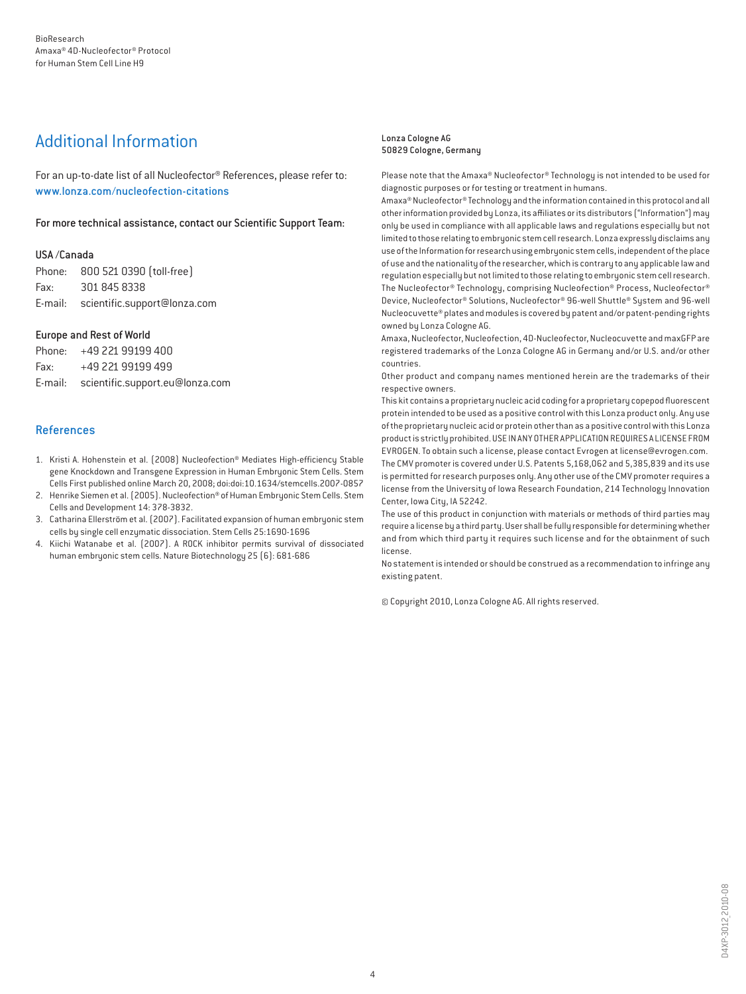## Additional Information

For an up-to-date list of all Nucleofector® References, please refer to: www.lonza.com/nucleofection-citations

For more technical assistance, contact our Scientific Support Team:

#### USA /Canada

Phone: 800 521 0390 (toll-free) Fax: 301 845 8338 E-mail: scientific.support@lonza.com

#### Europe and Rest of World

|          | Phone: +49 221 99199 400                |
|----------|-----------------------------------------|
| Fax: Fax | +49 221 99199 499                       |
|          | E-mail: scientific.support.eu@lonza.com |

#### References

- 1. Kristi A. Hohenstein et al. (2008) Nucleofection® Mediates High-efficiency Stable gene Knockdown and Transgene Expression in Human Embryonic Stem Cells. Stem Cells First published online March 20, 2008; doi:doi:10.1634/stemcells.2007-0857
- 2. Henrike Siemen et al. (2005). Nucleofection® of Human Embryonic Stem Cells. Stem Cells and Development 14: 378-3832.
- 3. Catharina Ellerström et al. (2007). Facilitated expansion of human embryonic stem cells by single cell enzymatic dissociation. Stem Cells 25:1690-1696
- 4. Kiichi Watanabe et al. (2007). A ROCK inhibitor permits survival of dissociated human embryonic stem cells. Nature Biotechnology 25 (6): 681-686

#### Lonza Cologne AG 50829 Cologne, Germany

Please note that the Amaxa® Nucleofector® Technology is not intended to be used for diagnostic purposes or for testing or treatment in humans.

Amaxa® Nucleofector® Technology and the information contained in this protocol and all other information provided by Lonza, its affiliates or its distributors ("Information") may only be used in compliance with all applicable laws and regulations especially but not limited to those relating to embryonic stem cell research. Lonza expressly disclaims any use of the Information for research using embryonic stem cells, independent of the place of use and the nationality of the researcher, which is contrary to any applicable law and regulation especially but not limited to those relating to embryonic stem cell research. The Nucleofector® Technology, comprising Nucleofection® Process, Nucleofector® Device, Nucleofector® Solutions, Nucleofector® 96-well Shuttle® System and 96-well Nucleocuvette® plates and modules is covered by patent and/or patent-pending rights owned by Lonza Cologne AG.

Amaxa, Nucleofector, Nucleofection, 4D-Nucleofector, Nucleocuvette and maxGFP are registered trademarks of the Lonza Cologne AG in Germany and/or U.S. and/or other countries.

Other product and company names mentioned herein are the trademarks of their respective owners.

This kit contains a proprietary nucleic acid coding for a proprietary copepod fluorescent protein intended to be used as a positive control with this Lonza product only. Any use of the proprietary nucleic acid or protein other than as a positive control with this Lonza product is strictly prohibited. USE IN ANY OTHER APPLICATION REQUIRES A LICENSE FROM EVROGEN. To obtain such a license, please contact Evrogen at license@evrogen.com. The CMV promoter is covered under U.S. Patents 5,168,062 and 5,385,839 and its use is permitted for research purposes only. Any other use of the CMV promoter requires a license from the University of Iowa Research Foundation, 214 Technology Innovation Center, Iowa City, IA 52242.

The use of this product in conjunction with materials or methods of third parties may require a license by a third party. User shall be fully responsible for determining whether and from which third party it requires such license and for the obtainment of such license.

No statement is intended or should be construed as a recommendation to infringe any existing patent.

© Copyright 2010, Lonza Cologne AG. All rights reserved.